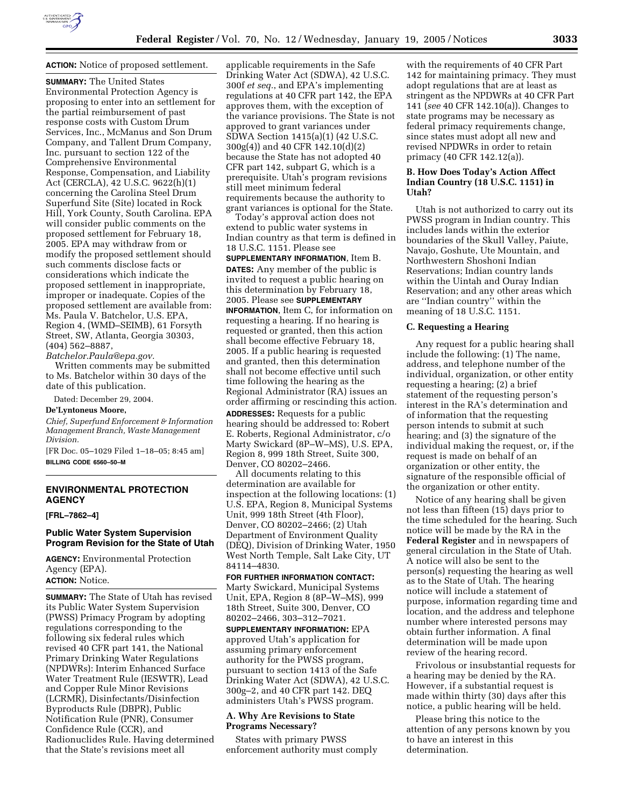

# **ACTION:** Notice of proposed settlement.

**SUMMARY:** The United States Environmental Protection Agency is proposing to enter into an settlement for the partial reimbursement of past response costs with Custom Drum Services, Inc., McManus and Son Drum Company, and Tallent Drum Company, Inc. pursuant to section 122 of the Comprehensive Environmental Response, Compensation, and Liability Act (CERCLA), 42 U.S.C. 9622(h)(1) concerning the Carolina Steel Drum Superfund Site (Site) located in Rock Hill, York County, South Carolina. EPA will consider public comments on the proposed settlement for February 18, 2005. EPA may withdraw from or modify the proposed settlement should such comments disclose facts or considerations which indicate the proposed settlement in inappropriate, improper or inadequate. Copies of the proposed settlement are available from: Ms. Paula V. Batchelor, U.S. EPA, Region 4, (WMD–SEIMB), 61 Forsyth Street, SW, Atlanta, Georgia 30303, (404) 562–8887,

*Batchelor.Paula@epa.gov.* Written comments may be submitted to Ms. Batchelor within 30 days of the date of this publication.

Dated: December 29, 2004.

### **De'Lyntoneus Moore,**

*Chief, Superfund Enforcement & Information Management Branch, Waste Management Division.*

[FR Doc. 05–1029 Filed 1–18–05; 8:45 am] **BILLING CODE 6560–50–M**

# **ENVIRONMENTAL PROTECTION AGENCY**

**[FRL–7862–4]** 

# **Public Water System Supervision Program Revision for the State of Utah**

**AGENCY:** Environmental Protection Agency (EPA). **ACTION:** Notice.

**SUMMARY:** The State of Utah has revised its Public Water System Supervision (PWSS) Primacy Program by adopting regulations corresponding to the following six federal rules which revised 40 CFR part 141, the National Primary Drinking Water Regulations (NPDWRs): Interim Enhanced Surface Water Treatment Rule (IESWTR), Lead and Copper Rule Minor Revisions (LCRMR), Disinfectants/Disinfection Byproducts Rule (DBPR), Public Notification Rule (PNR), Consumer Confidence Rule (CCR), and Radionuclides Rule. Having determined that the State's revisions meet all

applicable requirements in the Safe Drinking Water Act (SDWA), 42 U.S.C. 300f *et seq.*, and EPA's implementing regulations at 40 CFR part 142, the EPA approves them, with the exception of the variance provisions. The State is not approved to grant variances under SDWA Section 1415(a)(1) (42 U.S.C. 300g(4)) and 40 CFR 142.10(d)(2) because the State has not adopted 40 CFR part 142, subpart G, which is a prerequisite. Utah's program revisions still meet minimum federal requirements because the authority to grant variances is optional for the State.

Today's approval action does not extend to public water systems in Indian country as that term is defined in 18 U.S.C. 1151. Please see

**SUPPLEMENTARY INFORMATION**, Item B. **DATES:** Any member of the public is invited to request a public hearing on this determination by February 18, 2005. Please see **SUPPLEMENTARY INFORMATION**, Item C, for information on requesting a hearing. If no hearing is requested or granted, then this action shall become effective February 18, 2005. If a public hearing is requested and granted, then this determination shall not become effective until such time following the hearing as the Regional Administrator (RA) issues an order affirming or rescinding this action. **ADDRESSES:** Requests for a public hearing should be addressed to: Robert E. Roberts, Regional Administrator, c/o Marty Swickard (8P–W–MS), U.S. EPA, Region 8, 999 18th Street, Suite 300, Denver, CO 80202–2466.

All documents relating to this determination are available for inspection at the following locations: (1) U.S. EPA, Region 8, Municipal Systems Unit, 999 18th Street (4th Floor), Denver, CO 80202–2466; (2) Utah Department of Environment Quality (DEQ), Division of Drinking Water, 1950 West North Temple, Salt Lake City, UT 84114–4830.

#### **FOR FURTHER INFORMATION CONTACT:**

Marty Swickard, Municipal Systems Unit, EPA, Region 8 (8P–W–MS), 999 18th Street, Suite 300, Denver, CO 80202–2466, 303–312–7021.

**SUPPLEMENTARY INFORMATION:** EPA approved Utah's application for assuming primary enforcement authority for the PWSS program, pursuant to section 1413 of the Safe Drinking Water Act (SDWA), 42 U.S.C. 300g–2, and 40 CFR part 142. DEQ administers Utah's PWSS program.

### **A. Why Are Revisions to State Programs Necessary?**

States with primary PWSS enforcement authority must comply

with the requirements of 40 CFR Part 142 for maintaining primacy. They must adopt regulations that are at least as stringent as the NPDWRs at 40 CFR Part 141 (*see* 40 CFR 142.10(a)). Changes to state programs may be necessary as federal primacy requirements change, since states must adopt all new and revised NPDWRs in order to retain primacy (40 CFR 142.12(a)).

### **B. How Does Today's Action Affect Indian Country (18 U.S.C. 1151) in Utah?**

Utah is not authorized to carry out its PWSS program in Indian country. This includes lands within the exterior boundaries of the Skull Valley, Paiute, Navajo, Goshute, Ute Mountain, and Northwestern Shoshoni Indian Reservations; Indian country lands within the Uintah and Ouray Indian Reservation; and any other areas which are ''Indian country'' within the meaning of 18 U.S.C. 1151.

### **C. Requesting a Hearing**

Any request for a public hearing shall include the following: (1) The name, address, and telephone number of the individual, organization, or other entity requesting a hearing; (2) a brief statement of the requesting person's interest in the RA's determination and of information that the requesting person intends to submit at such hearing; and (3) the signature of the individual making the request, or, if the request is made on behalf of an organization or other entity, the signature of the responsible official of the organization or other entity.

Notice of any hearing shall be given not less than fifteen (15) days prior to the time scheduled for the hearing. Such notice will be made by the RA in the **Federal Register** and in newspapers of general circulation in the State of Utah. A notice will also be sent to the person(s) requesting the hearing as well as to the State of Utah. The hearing notice will include a statement of purpose, information regarding time and location, and the address and telephone number where interested persons may obtain further information. A final determination will be made upon review of the hearing record.

Frivolous or insubstantial requests for a hearing may be denied by the RA. However, if a substantial request is made within thirty (30) days after this notice, a public hearing will be held.

Please bring this notice to the attention of any persons known by you to have an interest in this determination.